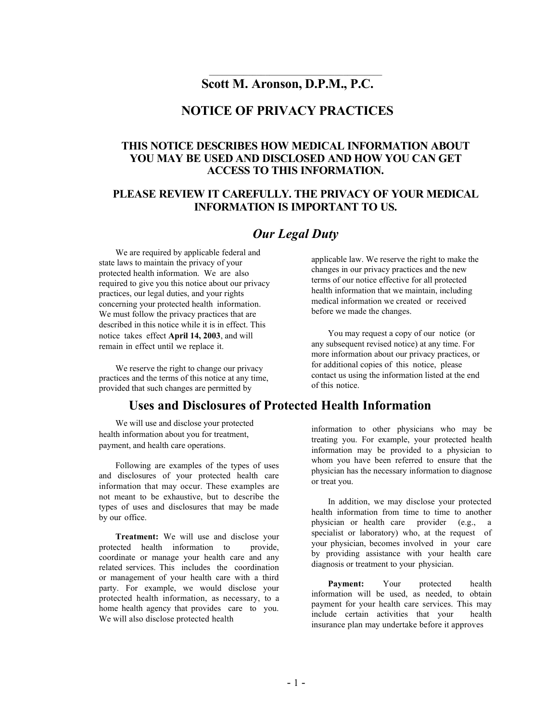### **Scott M. Aronson, D.P.M., P.C.**

 $\mathcal{L}_\text{max}$ 

#### **NOTICE OF PRIVACY PRACTICES**

#### **THIS NOTICE DESCRIBES HOW MEDICAL INFORMATION ABOUT YOU MAY BE USED AND DISCLOSED AND HOW YOU CAN GET ACCESS TO THIS INFORMATION.**

#### **PLEASE REVIEW IT CAREFULLY. THE PRIVACY OF YOUR MEDICAL INFORMATION IS IMPORTANT TO US.**

#### *Our Legal Duty*

We are required by applicable federal and state laws to maintain the privacy of your protected health information. We are also required to give you this notice about our privacy practices, our legal duties, and your rights concerning your protected health information. We must follow the privacy practices that are described in this notice while it is in effect. This notice takes effect **April 14, 2003**, and will remain in effect until we replace it.

We reserve the right to change our privacy practices and the terms of this notice at any time, provided that such changes are permitted by

### **Uses and Disclosures of Protected Health Information**

of this notice.

We will use and disclose your protected health information about you for treatment, payment, and health care operations.

Following are examples of the types of uses and disclosures of your protected health care information that may occur. These examples are not meant to be exhaustive, but to describe the types of uses and disclosures that may be made by our office.

**Treatment:** We will use and disclose your protected health information to provide, coordinate or manage your health care and any related services. This includes the coordination or management of your health care with a third party. For example, we would disclose your protected health information, as necessary, to a home health agency that provides care to you. We will also disclose protected health

information to other physicians who may be treating you. For example, your protected health information may be provided to a physician to whom you have been referred to ensure that the physician has the necessary information to diagnose or treat you.

In addition, we may disclose your protected health information from time to time to another physician or health care provider (e.g., a specialist or laboratory) who, at the request of your physician, becomes involved in your care by providing assistance with your health care diagnosis or treatment to your physician.

**Payment:** Your protected health information will be used, as needed, to obtain payment for your health care services. This may include certain activities that your health insurance plan may undertake before it approves

applicable law. We reserve the right to make the changes in our privacy practices and the new terms of our notice effective for all protected health information that we maintain, including medical information we created or received before we made the changes.

You may request a copy of our notice (or any subsequent revised notice) at any time. For more information about our privacy practices, or for additional copies of this notice, please contact us using the information listed at the end

- 1 -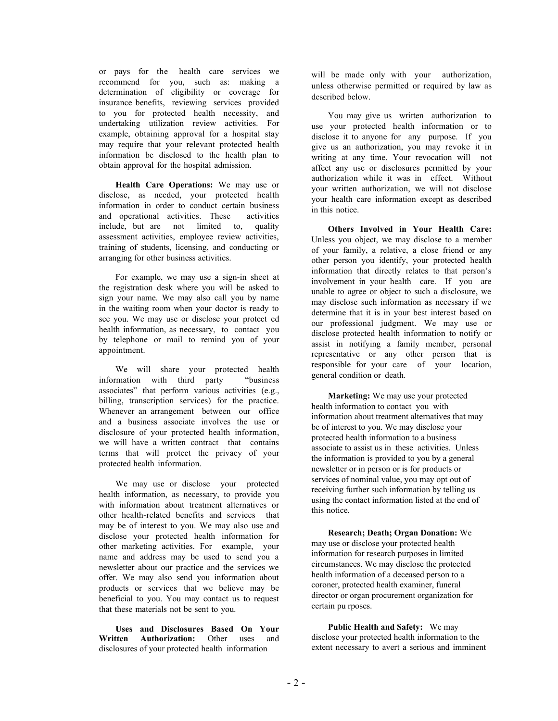or pays for the health care services we recommend for you, such as: making a determination of eligibility or coverage for insurance benefits, reviewing services provided to you for protected health necessity, and undertaking utilization review activities. For example, obtaining approval for a hospital stay may require that your relevant protected health information be disclosed to the health plan to obtain approval for the hospital admission.

**Health Care Operations:** We may use or disclose, as needed, your protected health information in order to conduct certain business and operational activities. These activities include, but are not limited to, quality assessment activities, employee review activities, training of students, licensing, and conducting or arranging for other business activities.

For example, we may use a sign-in sheet at the registration desk where you will be asked to sign your name. We may also call you by name in the waiting room when your doctor is ready to see you. We may use or disclose your protect ed health information, as necessary, to contact you by telephone or mail to remind you of your appointment.

We will share your protected health information with third party "business associates" that perform various activities (e.g., billing, transcription services) for the practice. Whenever an arrangement between our office and a business associate involves the use or disclosure of your protected health information, we will have a written contract that contains terms that will protect the privacy of your protected health information.

We may use or disclose your protected health information, as necessary, to provide you with information about treatment alternatives or other health-related benefits and services that may be of interest to you. We may also use and disclose your protected health information for other marketing activities. For example, your name and address may be used to send you a newsletter about our practice and the services we offer. We may also send you information about products or services that we believe may be beneficial to you. You may contact us to request that these materials not be sent to you.

**Uses and Disclosures Based On Your Written Authorization:** Other uses and disclosures of your protected health information

will be made only with your authorization, unless otherwise permitted or required by law as described below.

You may give us written authorization to use your protected health information or to disclose it to anyone for any purpose. If you give us an authorization, you may revoke it in writing at any time. Your revocation will not affect any use or disclosures permitted by your authorization while it was in effect. Without your written authorization, we will not disclose your health care information except as described in this notice.

**Others Involved in Your Health Care:** Unless you object, we may disclose to a member of your family, a relative, a close friend or any other person you identify, your protected health information that directly relates to that person's involvement in your health care. If you are unable to agree or object to such a disclosure, we may disclose such information as necessary if we determine that it is in your best interest based on our professional judgment. We may use or disclose protected health information to notify or assist in notifying a family member, personal representative or any other person that is responsible for your care of your location, general condition or death.

**Marketing:** We may use your protected health information to contact you with information about treatment alternatives that may be of interest to you. We may disclose your protected health information to a business associate to assist us in these activities. Unless the information is provided to you by a general newsletter or in person or is for products or services of nominal value, you may opt out of receiving further such information by telling us using the contact information listed at the end of this notice.

**Research; Death; Organ Donation:** We may use or disclose your protected health information for research purposes in limited circumstances. We may disclose the protected health information of a deceased person to a coroner, protected health examiner, funeral director or organ procurement organization for certain pu rposes.

**Public Health and Safety:** We may disclose your protected health information to the extent necessary to avert a serious and imminent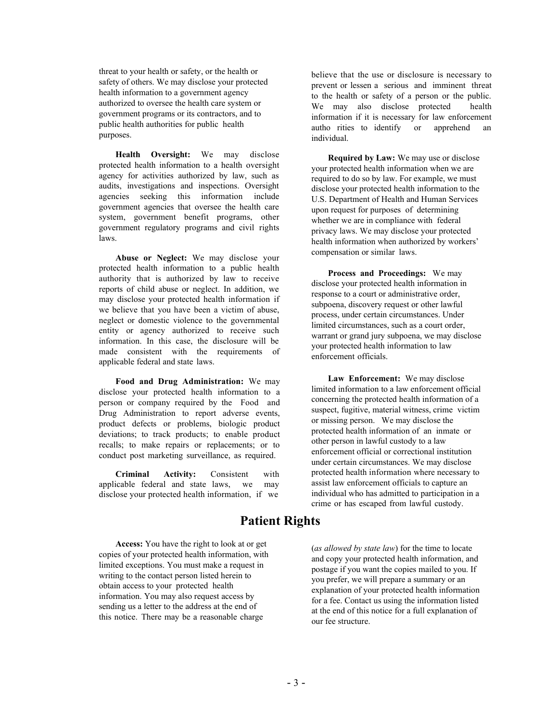threat to your health or safety, or the health or safety of others. We may disclose your protected health information to a government agency authorized to oversee the health care system or government programs or its contractors, and to public health authorities for public health purposes.

**Health Oversight:** We may disclose protected health information to a health oversight agency for activities authorized by law, such as audits, investigations and inspections. Oversight agencies seeking this information include government agencies that oversee the health care system, government benefit programs, other government regulatory programs and civil rights laws.

**Abuse or Neglect:** We may disclose your protected health information to a public health authority that is authorized by law to receive reports of child abuse or neglect. In addition, we may disclose your protected health information if we believe that you have been a victim of abuse, neglect or domestic violence to the governmental entity or agency authorized to receive such information. In this case, the disclosure will be made consistent with the requirements of applicable federal and state laws.

**Food and Drug Administration:** We may disclose your protected health information to a person or company required by the Food and Drug Administration to report adverse events, product defects or problems, biologic product deviations; to track products; to enable product recalls; to make repairs or replacements; or to conduct post marketing surveillance, as required.

**Criminal Activity:** Consistent with applicable federal and state laws, we may disclose your protected health information, if we

**Access:** You have the right to look at or get copies of your protected health information, with limited exceptions. You must make a request in writing to the contact person listed herein to obtain access to your protected health information. You may also request access by sending us a letter to the address at the end of this notice. There may be a reasonable charge

believe that the use or disclosure is necessary to prevent or lessen a serious and imminent threat to the health or safety of a person or the public. We may also disclose protected health information if it is necessary for law enforcement autho rities to identify or apprehend an individual.

**Required by Law:** We may use or disclose your protected health information when we are required to do so by law. For example, we must disclose your protected health information to the U.S. Department of Health and Human Services upon request for purposes of determining whether we are in compliance with federal privacy laws. We may disclose your protected health information when authorized by workers' compensation or similar laws.

**Process and Proceedings:** We may disclose your protected health information in response to a court or administrative order, subpoena, discovery request or other lawful process, under certain circumstances. Under limited circumstances, such as a court order, warrant or grand jury subpoena, we may disclose your protected health information to law enforcement officials.

**Law Enforcement:** We may disclose limited information to a law enforcement official concerning the protected health information of a suspect, fugitive, material witness, crime victim or missing person. We may disclose the protected health information of an inmate or other person in lawful custody to a law enforcement official or correctional institution under certain circumstances. We may disclose protected health information where necessary to assist law enforcement officials to capture an individual who has admitted to participation in a crime or has escaped from lawful custody.

**Patient Rights**

(*as allowed by state law*) for the time to locate and copy your protected health information, and postage if you want the copies mailed to you. If you prefer, we will prepare a summary or an explanation of your protected health information for a fee. Contact us using the information listed at the end of this notice for a full explanation of our fee structure.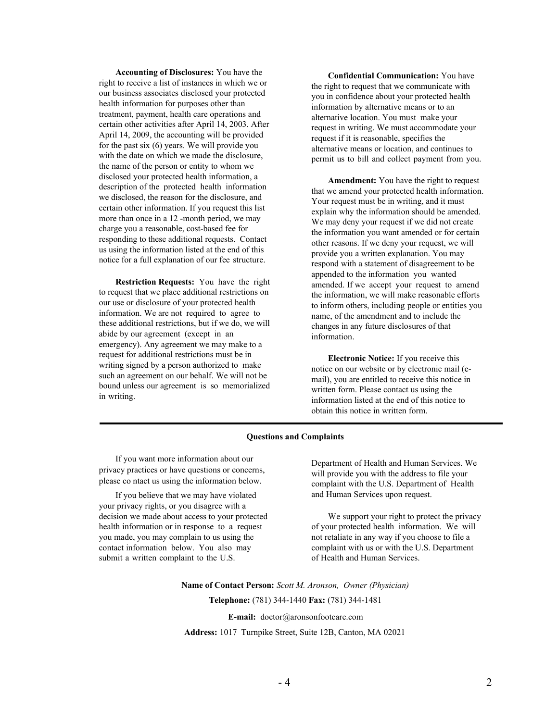**Accounting of Disclosures:** You have the right to receive a list of instances in which we or our business associates disclosed your protected health information for purposes other than treatment, payment, health care operations and certain other activities after April 14, 2003. After April 14, 2009, the accounting will be provided for the past six (6) years. We will provide you with the date on which we made the disclosure, the name of the person or entity to whom we disclosed your protected health information, a description of the protected health information we disclosed, the reason for the disclosure, and certain other information. If you request this list more than once in a 12 -month period, we may charge you a reasonable, cost-based fee for responding to these additional requests. Contact us using the information listed at the end of this notice for a full explanation of our fee structure.

**Restriction Requests:** You have the right to request that we place additional restrictions on our use or disclosure of your protected health information. We are not required to agree to these additional restrictions, but if we do, we will abide by our agreement (except in an emergency). Any agreement we may make to a request for additional restrictions must be in writing signed by a person authorized to make such an agreement on our behalf. We will not be bound unless our agreement is so memorialized in writing.

**Confidential Communication:** You have the right to request that we communicate with you in confidence about your protected health information by alternative means or to an alternative location. You must make your request in writing. We must accommodate your request if it is reasonable, specifies the alternative means or location, and continues to permit us to bill and collect payment from you.

**Amendment:** You have the right to request that we amend your protected health information. Your request must be in writing, and it must explain why the information should be amended. We may deny your request if we did not create the information you want amended or for certain other reasons. If we deny your request, we will provide you a written explanation. You may respond with a statement of disagreement to be appended to the information you wanted amended. If we accept your request to amend the information, we will make reasonable efforts to inform others, including people or entities you name, of the amendment and to include the changes in any future disclosures of that information.

**Electronic Notice:** If you receive this notice on our website or by electronic mail (email), you are entitled to receive this notice in written form. Please contact us using the information listed at the end of this notice to obtain this notice in written form.

#### **Questions and Complaints**

If you want more information about our privacy practices or have questions or concerns, please co ntact us using the information below.

If you believe that we may have violated your privacy rights, or you disagree with a decision we made about access to your protected health information or in response to a request you made, you may complain to us using the contact information below. You also may submit a written complaint to the U.S.

Department of Health and Human Services. We will provide you with the address to file your complaint with the U.S. Department of Health and Human Services upon request.

We support your right to protect the privacy of your protected health information. We will not retaliate in any way if you choose to file a complaint with us or with the U.S. Department of Health and Human Services.

**Name of Contact Person:** *Scott M. Aronson, Owner (Physician)* **Telephone:** (781) 344-1440 **Fax:** (781) 344-1481

**E-mail:** doctor@aronsonfootcare.com

**Address:** 1017 Turnpike Street, Suite 12B, Canton, MA 02021